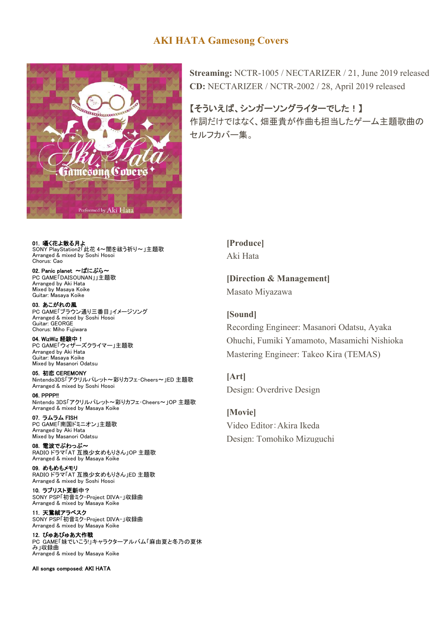## **AKI HATA Gamesong Covers**



**Streaming:** NCTR-1005 / NECTARIZER / 21, June 2019 released **CD:** NECTARIZER / NCTR-2002 / 28, April 2019 released

【そういえば、シンガーソングライターでした!】 作詞だけではなく、畑亜貴が作曲も担当したゲーム主題歌曲の セルフカバー集。

01. 囁く花よ散る月よ SONY PlayStation2「此花 4~闇を祓う祈り~」主題歌 Arranged & mixed by Soshi Hosoi Chorus: Cao

02. Panic planet 〜ぱにぷら〜 PC GAME<sup>T</sup>DAISOUNAN II主題歌 Arranged by Aki Hata Mixed by Masaya Koike Guitar: Masaya Koike

03. あこがれの風 PC GAME「ブラウン通り三番目」イメージソング Arranged & mixed by Soshi Hosoi Guitar: GEORGE Chorus: Miho Fujiwara

04. WizWiz 経験中! PC GAME「ウィザーズクライマー」主題歌 Arranged by Aki Hata Guitar: Masaya Koike Mixed by Masanori Odatsu

05. 初恋 CEREMONY Nintendo3DS「アクリルパレット~彩りカフェ・Cheers~」ED 主題歌 Arranged & mixed by Soshi Hosoi

06. PPPP!! Nintendo 3DS「アクリルパレット~彩りカフェ・Cheers~」OP 主題歌 Arranged & mixed by Masaya Koike

07. ラムラム FISH PC GAME「南国ドミニオン」主題歌 Arranged by Aki Hata Mixed by Masanori Odatsu

08. 電波でぷわっぷ〜 RADIO ドラマ「AT 互換少女めもりさん」OP 主題歌 Arranged & mixed by Masaya Koike

09. めもめもメモリ RADIO ドラマ「AT 互換少女めもりさん」ED 主題歌 Arranged & mixed by Soshi Hosoi

10. ラブリスト更新中? SONY PSP「初音ミク-Project DIVA-」収録曲 Arranged & mixed by Masaya Koike

11. 天鵞絨アラベスク SONY PSP「初音ミク-Project DIVA-」収録曲 Arranged & mixed by Masaya Koike

12. ぴゅあぴゅあ大作戦 PC GAME「妹でいこう!」キャラクターアルバム「麻由夏と冬乃の夏休 み」収録曲 Arranged & mixed by Masaya Koike

All songs composed: AKI HATA

**[Produce]** Aki Hata

**[Direction & Management]** Masato Miyazawa

**[Sound]** Recording Engineer: Masanori Odatsu, Ayaka Ohuchi, Fumiki Yamamoto, Masamichi Nishioka Mastering Engineer: Takeo Kira (TEMAS)

**[Art]** Design: Overdrive Design

**[Movie]** Video Editor:Akira Ikeda Design: Tomohiko Mizuguchi